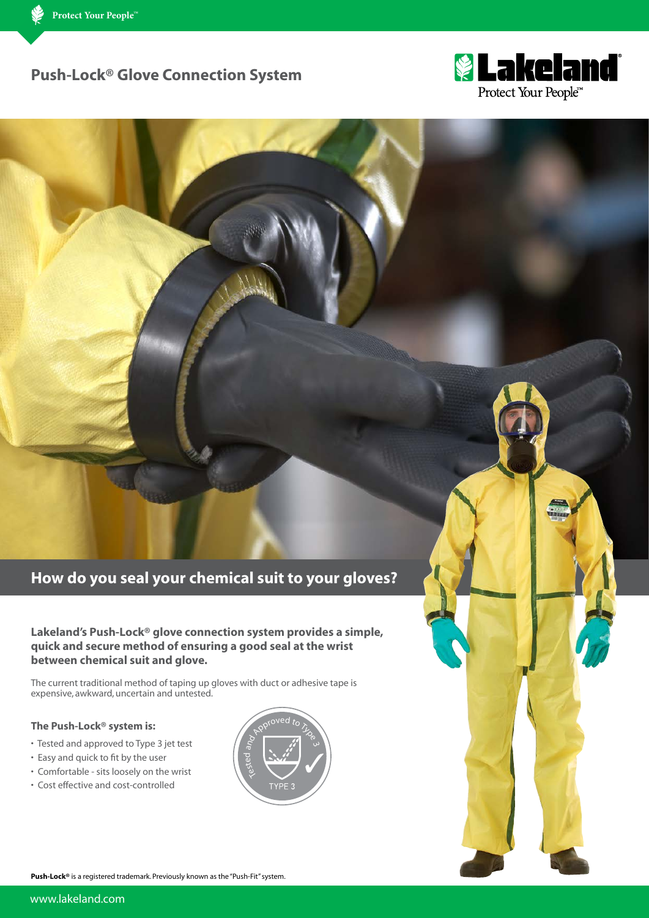# **Push-Lock® Glove Connection System**



# **How do you seal your chemical suit to your gloves?**

## **Lakeland's Push-Lock® glove connection system provides a simple, quick and secure method of ensuring a good seal at the wrist between chemical suit and glove.**

The current traditional method of taping up gloves with duct or adhesive tape is expensive, awkward, uncertain and untested.

### **The Push-Lock® system is:**

- Tested and approved to Type 3 jet test
- Easy and quick to fit by the user
- Comfortable sits loosely on the wrist
- Cost effective and cost-controlled



**Push-Lock<sup>®</sup>** is a registered trademark. Previously known as the "Push-Fit" system.